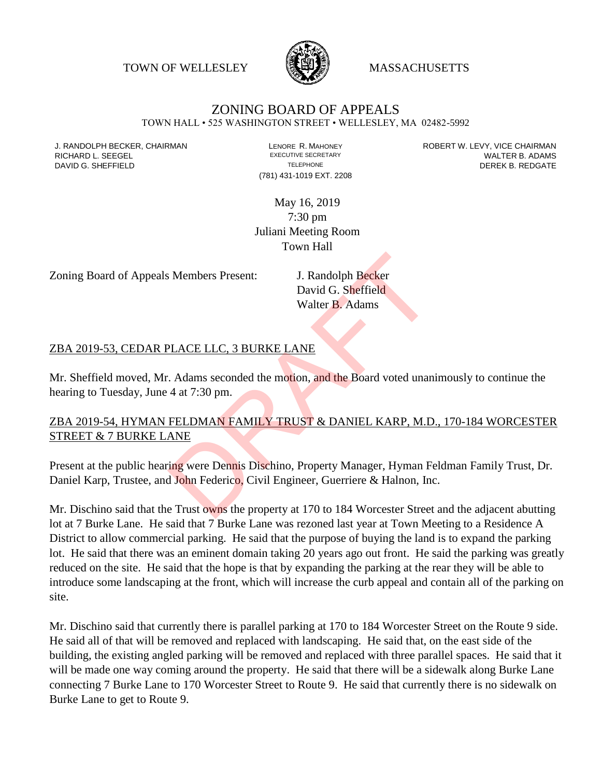TOWN OF WELLESLEY **WASSACHUSETTS** 



## ZONING BOARD OF APPEALS

TOWN HALL • 525 WASHINGTON STREET • WELLESLEY, MA 02482-5992

(781) 431-1019 EXT. 2208

J. RANDOLPH BECKER, CHAIRMAN LENORE R. MAHONEY LEVY, VICE CHAIRMAN LEVY, VICE CHAIRMAN LEVY, ONCE CHAIRMAN LEV<br>RICHARD I LISEEGEI LADAMS RICHARD L. SEEGEL **EXECUTIVE SECRETARY CONTROLL SEEGETARY** WALTER B. ADAMS DAVID G. SHEFFIELD **TELEPHONE** TELEPHONE TELEPHONE **TELEPHONE DEREK B. REDGATE** 

> May 16, 2019 7:30 pm Juliani Meeting Room Town Hall

Zoning Board of Appeals Members Present: J. Randolph Becker

David G. Sheffield Walter B. Adams

## ZBA 2019-53, CEDAR PLACE LLC, 3 BURKE LANE

Mr. Sheffield moved, Mr. Adams seconded the motion, and the Board voted unanimously to continue the hearing to Tuesday, June 4 at 7:30 pm.

## ZBA 2019-54, HYMAN FELDMAN FAMILY TRUST & DANIEL KARP, M.D., 170-184 WORCESTER STREET & 7 BURKE LANE S Members Present:<br>
J. Randolph Becker<br>
David G. Sheffield<br>
Walter B. Adams<br>
PLACE LLC, 3 BURKE LANE<br>
C. Adams seconded the motion, and the Board voted unan<br>
4 at 7:30 pm.<br>
FELDMAN FAMILY TRUST & DANIEL KARP, M.D<br>
ANE<br>
ing

Present at the public hearing were Dennis Dischino, Property Manager, Hyman Feldman Family Trust, Dr. Daniel Karp, Trustee, and John Federico, Civil Engineer, Guerriere & Halnon, Inc.

Mr. Dischino said that the Trust owns the property at 170 to 184 Worcester Street and the adjacent abutting lot at 7 Burke Lane. He said that 7 Burke Lane was rezoned last year at Town Meeting to a Residence A District to allow commercial parking. He said that the purpose of buying the land is to expand the parking lot. He said that there was an eminent domain taking 20 years ago out front. He said the parking was greatly reduced on the site. He said that the hope is that by expanding the parking at the rear they will be able to introduce some landscaping at the front, which will increase the curb appeal and contain all of the parking on site.

Mr. Dischino said that currently there is parallel parking at 170 to 184 Worcester Street on the Route 9 side. He said all of that will be removed and replaced with landscaping. He said that, on the east side of the building, the existing angled parking will be removed and replaced with three parallel spaces. He said that it will be made one way coming around the property. He said that there will be a sidewalk along Burke Lane connecting 7 Burke Lane to 170 Worcester Street to Route 9. He said that currently there is no sidewalk on Burke Lane to get to Route 9.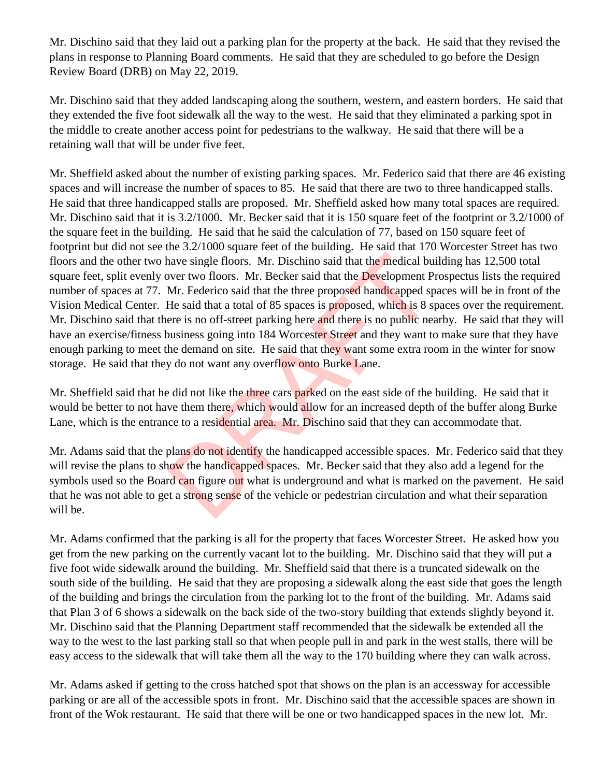Mr. Dischino said that they laid out a parking plan for the property at the back. He said that they revised the plans in response to Planning Board comments. He said that they are scheduled to go before the Design Review Board (DRB) on May 22, 2019.

Mr. Dischino said that they added landscaping along the southern, western, and eastern borders. He said that they extended the five foot sidewalk all the way to the west. He said that they eliminated a parking spot in the middle to create another access point for pedestrians to the walkway. He said that there will be a retaining wall that will be under five feet.

Mr. Sheffield asked about the number of existing parking spaces. Mr. Federico said that there are 46 existing spaces and will increase the number of spaces to 85. He said that there are two to three handicapped stalls. He said that three handicapped stalls are proposed. Mr. Sheffield asked how many total spaces are required. Mr. Dischino said that it is 3.2/1000. Mr. Becker said that it is 150 square feet of the footprint or 3.2/1000 of the square feet in the building. He said that he said the calculation of 77, based on 150 square feet of footprint but did not see the 3.2/1000 square feet of the building. He said that 170 Worcester Street has two floors and the other two have single floors. Mr. Dischino said that the medical building has 12,500 total square feet, split evenly over two floors. Mr. Becker said that the Development Prospectus lists the required number of spaces at 77. Mr. Federico said that the three proposed handicapped spaces will be in front of the Vision Medical Center. He said that a total of 85 spaces is proposed, which is 8 spaces over the requirement. Mr. Dischino said that there is no off-street parking here and there is no public nearby. He said that they will have an exercise/fitness business going into 184 Worcester Street and they want to make sure that they have enough parking to meet the demand on site. He said that they want some extra room in the winter for snow storage. He said that they do not want any overflow onto Burke Lane. nave single floors. Mr. Dischino said that the medical buver two floors. Mr. Becker said that the **Development P**<br>Mr. Federico said that the three proposed handicapped sp<br>He said that a total of 85 spaces is proposed, whic

Mr. Sheffield said that he did not like the three cars parked on the east side of the building. He said that it would be better to not have them there, which would allow for an increased depth of the buffer along Burke Lane, which is the entrance to a residential area. Mr. Dischino said that they can accommodate that.

Mr. Adams said that the plans do not identify the handicapped accessible spaces. Mr. Federico said that they will revise the plans to show the handicapped spaces. Mr. Becker said that they also add a legend for the symbols used so the Board can figure out what is underground and what is marked on the pavement. He said that he was not able to get a strong sense of the vehicle or pedestrian circulation and what their separation will be.

Mr. Adams confirmed that the parking is all for the property that faces Worcester Street. He asked how you get from the new parking on the currently vacant lot to the building. Mr. Dischino said that they will put a five foot wide sidewalk around the building. Mr. Sheffield said that there is a truncated sidewalk on the south side of the building. He said that they are proposing a sidewalk along the east side that goes the length of the building and brings the circulation from the parking lot to the front of the building. Mr. Adams said that Plan 3 of 6 shows a sidewalk on the back side of the two-story building that extends slightly beyond it. Mr. Dischino said that the Planning Department staff recommended that the sidewalk be extended all the way to the west to the last parking stall so that when people pull in and park in the west stalls, there will be easy access to the sidewalk that will take them all the way to the 170 building where they can walk across.

Mr. Adams asked if getting to the cross hatched spot that shows on the plan is an accessway for accessible parking or are all of the accessible spots in front. Mr. Dischino said that the accessible spaces are shown in front of the Wok restaurant. He said that there will be one or two handicapped spaces in the new lot. Mr.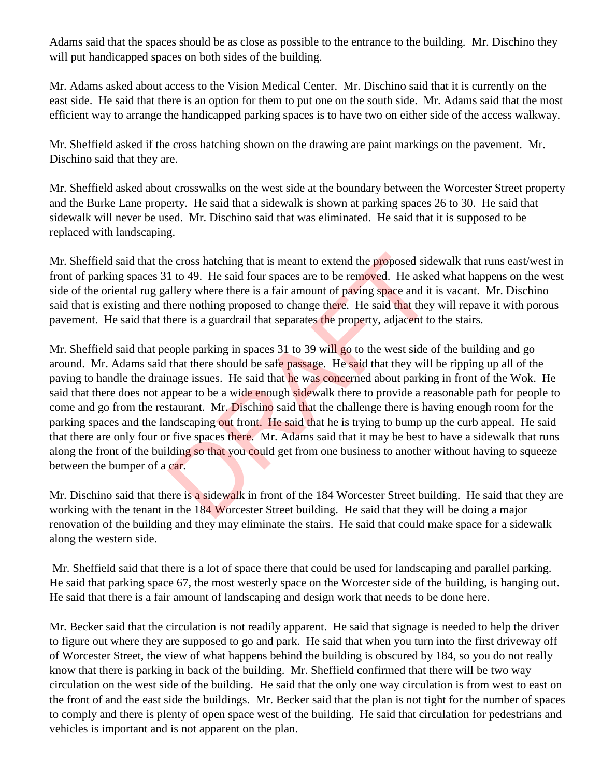Adams said that the spaces should be as close as possible to the entrance to the building. Mr. Dischino they will put handicapped spaces on both sides of the building.

Mr. Adams asked about access to the Vision Medical Center. Mr. Dischino said that it is currently on the east side. He said that there is an option for them to put one on the south side. Mr. Adams said that the most efficient way to arrange the handicapped parking spaces is to have two on either side of the access walkway.

Mr. Sheffield asked if the cross hatching shown on the drawing are paint markings on the pavement. Mr. Dischino said that they are.

Mr. Sheffield asked about crosswalks on the west side at the boundary between the Worcester Street property and the Burke Lane property. He said that a sidewalk is shown at parking spaces 26 to 30. He said that sidewalk will never be used. Mr. Dischino said that was eliminated. He said that it is supposed to be replaced with landscaping.

Mr. Sheffield said that the cross hatching that is meant to extend the proposed sidewalk that runs east/west in front of parking spaces 31 to 49. He said four spaces are to be removed. He asked what happens on the west side of the oriental rug gallery where there is a fair amount of paving space and it is vacant. Mr. Dischino said that is existing and there nothing proposed to change there. He said that they will repave it with porous pavement. He said that there is a guardrail that separates the property, adjacent to the stairs.

Mr. Sheffield said that people parking in spaces 31 to 39 will go to the west side of the building and go around. Mr. Adams said that there should be safe passage. He said that they will be ripping up all of the paving to handle the drainage issues. He said that he was concerned about parking in front of the Wok. He said that there does not appear to be a wide enough sidewalk there to provide a reasonable path for people to come and go from the restaurant. Mr. Dischino said that the challenge there is having enough room for the parking spaces and the landscaping out front. He said that he is trying to bump up the curb appeal. He said that there are only four or five spaces there. Mr. Adams said that it may be best to have a sidewalk that runs along the front of the building so that you could get from one business to another without having to squeeze between the bumper of a car. e cross hatching that is meant to extend the proposed side 1 to 49. He said four spaces are to be removed. He aske<br>allery where there is a fair amount of paving space and it<br>there nothing proposed to change there. He said

Mr. Dischino said that there is a sidewalk in front of the 184 Worcester Street building. He said that they are working with the tenant in the 184 Worcester Street building. He said that they will be doing a major renovation of the building and they may eliminate the stairs. He said that could make space for a sidewalk along the western side.

Mr. Sheffield said that there is a lot of space there that could be used for landscaping and parallel parking. He said that parking space 67, the most westerly space on the Worcester side of the building, is hanging out. He said that there is a fair amount of landscaping and design work that needs to be done here.

Mr. Becker said that the circulation is not readily apparent. He said that signage is needed to help the driver to figure out where they are supposed to go and park. He said that when you turn into the first driveway off of Worcester Street, the view of what happens behind the building is obscured by 184, so you do not really know that there is parking in back of the building. Mr. Sheffield confirmed that there will be two way circulation on the west side of the building. He said that the only one way circulation is from west to east on the front of and the east side the buildings. Mr. Becker said that the plan is not tight for the number of spaces to comply and there is plenty of open space west of the building. He said that circulation for pedestrians and vehicles is important and is not apparent on the plan.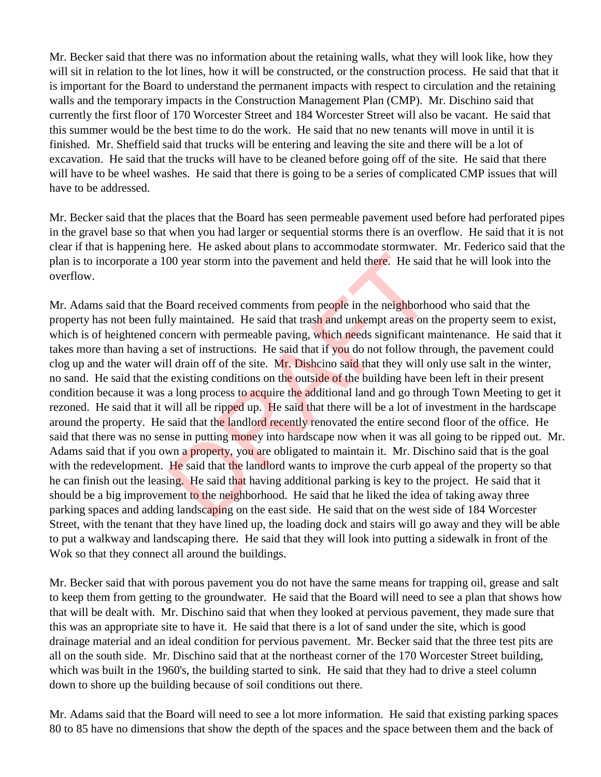Mr. Becker said that there was no information about the retaining walls, what they will look like, how they will sit in relation to the lot lines, how it will be constructed, or the construction process. He said that that it is important for the Board to understand the permanent impacts with respect to circulation and the retaining walls and the temporary impacts in the Construction Management Plan (CMP). Mr. Dischino said that currently the first floor of 170 Worcester Street and 184 Worcester Street will also be vacant. He said that this summer would be the best time to do the work. He said that no new tenants will move in until it is finished. Mr. Sheffield said that trucks will be entering and leaving the site and there will be a lot of excavation. He said that the trucks will have to be cleaned before going off of the site. He said that there will have to be wheel washes. He said that there is going to be a series of complicated CMP issues that will have to be addressed.

Mr. Becker said that the places that the Board has seen permeable pavement used before had perforated pipes in the gravel base so that when you had larger or sequential storms there is an overflow. He said that it is not clear if that is happening here. He asked about plans to accommodate stormwater. Mr. Federico said that the plan is to incorporate a 100 year storm into the pavement and held there. He said that he will look into the overflow.

Mr. Adams said that the Board received comments from people in the neighborhood who said that the property has not been fully maintained. He said that trash and unkempt areas on the property seem to exist, which is of heightened concern with permeable paving, which needs significant maintenance. He said that it takes more than having a set of instructions. He said that if you do not follow through, the pavement could clog up and the water will drain off of the site. Mr. Dishcino said that they will only use salt in the winter, no sand. He said that the existing conditions on the outside of the building have been left in their present condition because it was a long process to acquire the additional land and go through Town Meeting to get it rezoned. He said that it will all be ripped up. He said that there will be a lot of investment in the hardscape around the property. He said that the landlord recently renovated the entire second floor of the office. He said that there was no sense in putting money into hardscape now when it was all going to be ripped out. Mr. Adams said that if you own a property, you are obligated to maintain it. Mr. Dischino said that is the goal with the redevelopment. He said that the landlord wants to improve the curb appeal of the property so that he can finish out the leasing. He said that having additional parking is key to the project. He said that it should be a big improvement to the neighborhood. He said that he liked the idea of taking away three parking spaces and adding landscaping on the east side. He said that on the west side of 184 Worcester Street, with the tenant that they have lined up, the loading dock and stairs will go away and they will be able to put a walkway and landscaping there. He said that they will look into putting a sidewalk in front of the Wok so that they connect all around the buildings. 00 year storm into the pavement and held there. He said<br>Board received comments from people in the neighborholy maintained. He said that trash and unkempt areas on t<br>oncern with permeable paving, which needs significant m<br>

Mr. Becker said that with porous pavement you do not have the same means for trapping oil, grease and salt to keep them from getting to the groundwater. He said that the Board will need to see a plan that shows how that will be dealt with. Mr. Dischino said that when they looked at pervious pavement, they made sure that this was an appropriate site to have it. He said that there is a lot of sand under the site, which is good drainage material and an ideal condition for pervious pavement. Mr. Becker said that the three test pits are all on the south side. Mr. Dischino said that at the northeast corner of the 170 Worcester Street building, which was built in the 1960's, the building started to sink. He said that they had to drive a steel column down to shore up the building because of soil conditions out there.

Mr. Adams said that the Board will need to see a lot more information. He said that existing parking spaces 80 to 85 have no dimensions that show the depth of the spaces and the space between them and the back of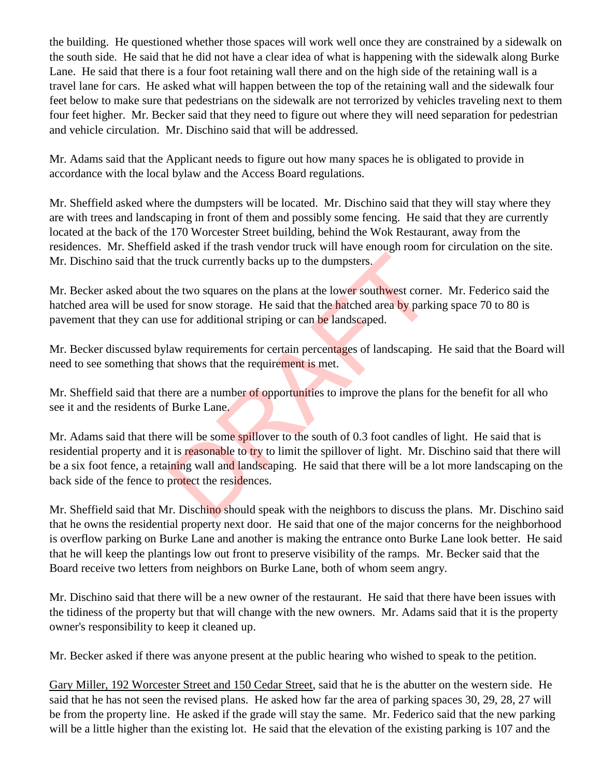the building. He questioned whether those spaces will work well once they are constrained by a sidewalk on the south side. He said that he did not have a clear idea of what is happening with the sidewalk along Burke Lane. He said that there is a four foot retaining wall there and on the high side of the retaining wall is a travel lane for cars. He asked what will happen between the top of the retaining wall and the sidewalk four feet below to make sure that pedestrians on the sidewalk are not terrorized by vehicles traveling next to them four feet higher. Mr. Becker said that they need to figure out where they will need separation for pedestrian and vehicle circulation. Mr. Dischino said that will be addressed.

Mr. Adams said that the Applicant needs to figure out how many spaces he is obligated to provide in accordance with the local bylaw and the Access Board regulations.

Mr. Sheffield asked where the dumpsters will be located. Mr. Dischino said that they will stay where they are with trees and landscaping in front of them and possibly some fencing. He said that they are currently located at the back of the 170 Worcester Street building, behind the Wok Restaurant, away from the residences. Mr. Sheffield asked if the trash vendor truck will have enough room for circulation on the site. Mr. Dischino said that the truck currently backs up to the dumpsters.

Mr. Becker asked about the two squares on the plans at the lower southwest corner. Mr. Federico said the hatched area will be used for snow storage. He said that the hatched area by parking space 70 to 80 is pavement that they can use for additional striping or can be landscaped.

Mr. Becker discussed bylaw requirements for certain percentages of landscaping. He said that the Board will need to see something that shows that the requirement is met.

Mr. Sheffield said that there are a number of opportunities to improve the plans for the benefit for all who see it and the residents of Burke Lane.

Mr. Adams said that there will be some spillover to the south of 0.3 foot candles of light. He said that is residential property and it is reasonable to try to limit the spillover of light. Mr. Dischino said that there will be a six foot fence, a retaining wall and landscaping. He said that there will be a lot more landscaping on the back side of the fence to protect the residences. e truck currently backs up to the dumpsters.<br>
the two squares on the plans at the lower southwest corne<br>
for snow storage. He said that the hatched area by parkise<br>
se for additional striping or can be landscaped.<br>
law req

Mr. Sheffield said that Mr. Dischino should speak with the neighbors to discuss the plans. Mr. Dischino said that he owns the residential property next door. He said that one of the major concerns for the neighborhood is overflow parking on Burke Lane and another is making the entrance onto Burke Lane look better. He said that he will keep the plantings low out front to preserve visibility of the ramps. Mr. Becker said that the Board receive two letters from neighbors on Burke Lane, both of whom seem angry.

Mr. Dischino said that there will be a new owner of the restaurant. He said that there have been issues with the tidiness of the property but that will change with the new owners. Mr. Adams said that it is the property owner's responsibility to keep it cleaned up.

Mr. Becker asked if there was anyone present at the public hearing who wished to speak to the petition.

Gary Miller, 192 Worcester Street and 150 Cedar Street, said that he is the abutter on the western side. He said that he has not seen the revised plans. He asked how far the area of parking spaces 30, 29, 28, 27 will be from the property line. He asked if the grade will stay the same. Mr. Federico said that the new parking will be a little higher than the existing lot. He said that the elevation of the existing parking is 107 and the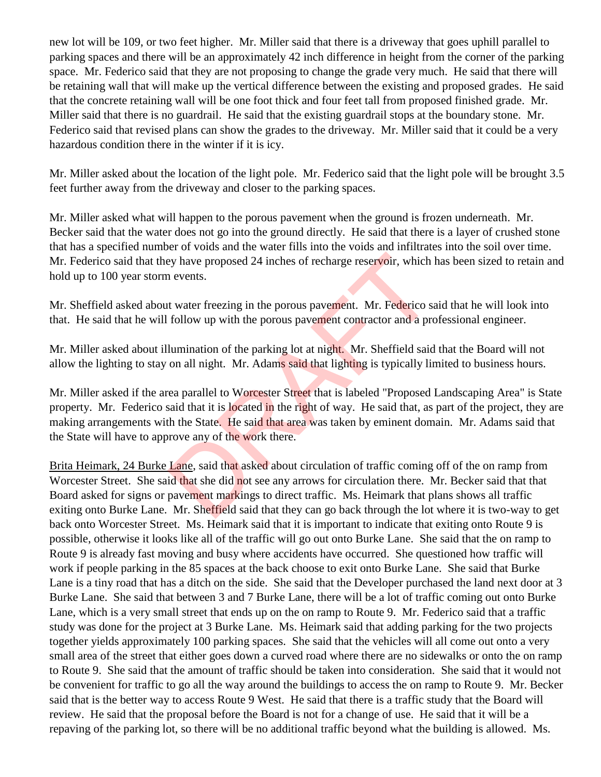new lot will be 109, or two feet higher. Mr. Miller said that there is a driveway that goes uphill parallel to parking spaces and there will be an approximately 42 inch difference in height from the corner of the parking space. Mr. Federico said that they are not proposing to change the grade very much. He said that there will be retaining wall that will make up the vertical difference between the existing and proposed grades. He said that the concrete retaining wall will be one foot thick and four feet tall from proposed finished grade. Mr. Miller said that there is no guardrail. He said that the existing guardrail stops at the boundary stone. Mr. Federico said that revised plans can show the grades to the driveway. Mr. Miller said that it could be a very hazardous condition there in the winter if it is icy.

Mr. Miller asked about the location of the light pole. Mr. Federico said that the light pole will be brought 3.5 feet further away from the driveway and closer to the parking spaces.

Mr. Miller asked what will happen to the porous pavement when the ground is frozen underneath. Mr. Becker said that the water does not go into the ground directly. He said that there is a layer of crushed stone that has a specified number of voids and the water fills into the voids and infiltrates into the soil over time. Mr. Federico said that they have proposed 24 inches of recharge reservoir, which has been sized to retain and hold up to 100 year storm events.

Mr. Sheffield asked about water freezing in the porous pavement. Mr. Federico said that he will look into that. He said that he will follow up with the porous pavement contractor and a professional engineer.

Mr. Miller asked about illumination of the parking lot at night. Mr. Sheffield said that the Board will not allow the lighting to stay on all night. Mr. Adams said that lighting is typically limited to business hours.

Mr. Miller asked if the area parallel to Worcester Street that is labeled "Proposed Landscaping Area" is State property. Mr. Federico said that it is located in the right of way. He said that, as part of the project, they are making arrangements with the State. He said that area was taken by eminent domain. Mr. Adams said that the State will have to approve any of the work there.

Brita Heimark, 24 Burke Lane, said that asked about circulation of traffic coming off of the on ramp from Worcester Street. She said that she did not see any arrows for circulation there. Mr. Becker said that that Board asked for signs or pavement markings to direct traffic. Ms. Heimark that plans shows all traffic exiting onto Burke Lane. Mr. Sheffield said that they can go back through the lot where it is two-way to get back onto Worcester Street. Ms. Heimark said that it is important to indicate that exiting onto Route 9 is possible, otherwise it looks like all of the traffic will go out onto Burke Lane. She said that the on ramp to Route 9 is already fast moving and busy where accidents have occurred. She questioned how traffic will work if people parking in the 85 spaces at the back choose to exit onto Burke Lane. She said that Burke Lane is a tiny road that has a ditch on the side. She said that the Developer purchased the land next door at 3 Burke Lane. She said that between 3 and 7 Burke Lane, there will be a lot of traffic coming out onto Burke Lane, which is a very small street that ends up on the on ramp to Route 9. Mr. Federico said that a traffic study was done for the project at 3 Burke Lane. Ms. Heimark said that adding parking for the two projects together yields approximately 100 parking spaces. She said that the vehicles will all come out onto a very small area of the street that either goes down a curved road where there are no sidewalks or onto the on ramp to Route 9. She said that the amount of traffic should be taken into consideration. She said that it would not be convenient for traffic to go all the way around the buildings to access the on ramp to Route 9. Mr. Becker said that is the better way to access Route 9 West. He said that there is a traffic study that the Board will review. He said that the proposal before the Board is not for a change of use. He said that it will be a repaving of the parking lot, so there will be no additional traffic beyond what the building is allowed. Ms. by have proposed 24 inches of recharge reservoir, which<br>
in events.<br>
it water freezing in the porous pavement. Mr. Federico si<br>
follow up with the porous pavement contractor and a pro-<br>
lumination of the parking lot at nig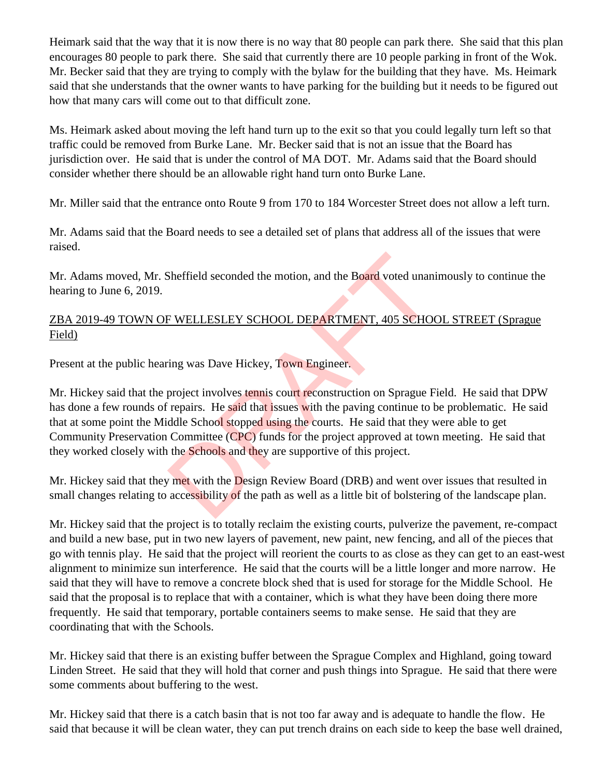Heimark said that the way that it is now there is no way that 80 people can park there. She said that this plan encourages 80 people to park there. She said that currently there are 10 people parking in front of the Wok. Mr. Becker said that they are trying to comply with the bylaw for the building that they have. Ms. Heimark said that she understands that the owner wants to have parking for the building but it needs to be figured out how that many cars will come out to that difficult zone.

Ms. Heimark asked about moving the left hand turn up to the exit so that you could legally turn left so that traffic could be removed from Burke Lane. Mr. Becker said that is not an issue that the Board has jurisdiction over. He said that is under the control of MA DOT. Mr. Adams said that the Board should consider whether there should be an allowable right hand turn onto Burke Lane.

Mr. Miller said that the entrance onto Route 9 from 170 to 184 Worcester Street does not allow a left turn.

Mr. Adams said that the Board needs to see a detailed set of plans that address all of the issues that were raised.

Mr. Adams moved, Mr. Sheffield seconded the motion, and the Board voted unanimously to continue the hearing to June 6, 2019.

## ZBA 2019-49 TOWN OF WELLESLEY SCHOOL DEPARTMENT, 405 SCHOOL STREET (Sprague Field)

Present at the public hearing was Dave Hickey, Town Engineer.

Mr. Hickey said that the project involves tennis court reconstruction on Sprague Field. He said that DPW has done a few rounds of repairs. He said that issues with the paving continue to be problematic. He said that at some point the Middle School stopped using the courts. He said that they were able to get Community Preservation Committee (CPC) funds for the project approved at town meeting. He said that they worked closely with the **Schools** and they are supportive of this project. Sheffield seconded the motion, and the Board voted unan<br>
F WELLESLEY SCHOOL DEPARTMENT, 405 SCHO<br>
ing was Dave Hickey, Town Engineer.<br>
project involves tennis court reconstruction on Sprague F<br>
repairs. He said that issues

Mr. Hickey said that they met with the Design Review Board (DRB) and went over issues that resulted in small changes relating to accessibility of the path as well as a little bit of bolstering of the landscape plan.

Mr. Hickey said that the project is to totally reclaim the existing courts, pulverize the pavement, re-compact and build a new base, put in two new layers of pavement, new paint, new fencing, and all of the pieces that go with tennis play. He said that the project will reorient the courts to as close as they can get to an east-west alignment to minimize sun interference. He said that the courts will be a little longer and more narrow. He said that they will have to remove a concrete block shed that is used for storage for the Middle School. He said that the proposal is to replace that with a container, which is what they have been doing there more frequently. He said that temporary, portable containers seems to make sense. He said that they are coordinating that with the Schools.

Mr. Hickey said that there is an existing buffer between the Sprague Complex and Highland, going toward Linden Street. He said that they will hold that corner and push things into Sprague. He said that there were some comments about buffering to the west.

Mr. Hickey said that there is a catch basin that is not too far away and is adequate to handle the flow. He said that because it will be clean water, they can put trench drains on each side to keep the base well drained,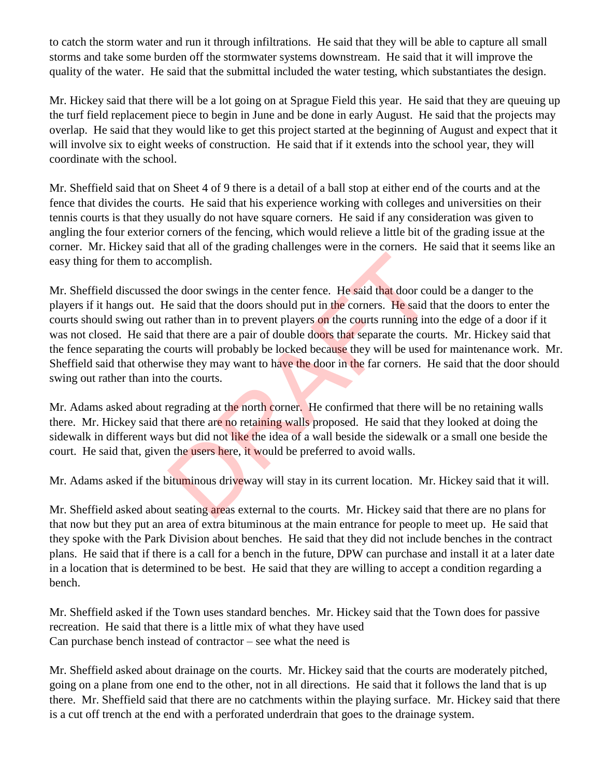to catch the storm water and run it through infiltrations. He said that they will be able to capture all small storms and take some burden off the stormwater systems downstream. He said that it will improve the quality of the water. He said that the submittal included the water testing, which substantiates the design.

Mr. Hickey said that there will be a lot going on at Sprague Field this year. He said that they are queuing up the turf field replacement piece to begin in June and be done in early August. He said that the projects may overlap. He said that they would like to get this project started at the beginning of August and expect that it will involve six to eight weeks of construction. He said that if it extends into the school year, they will coordinate with the school.

Mr. Sheffield said that on Sheet 4 of 9 there is a detail of a ball stop at either end of the courts and at the fence that divides the courts. He said that his experience working with colleges and universities on their tennis courts is that they usually do not have square corners. He said if any consideration was given to angling the four exterior corners of the fencing, which would relieve a little bit of the grading issue at the corner. Mr. Hickey said that all of the grading challenges were in the corners. He said that it seems like an easy thing for them to accomplish.

Mr. Sheffield discussed the door swings in the center fence. He said that door could be a danger to the players if it hangs out. He said that the doors should put in the corners. He said that the doors to enter the courts should swing out rather than in to prevent players on the courts running into the edge of a door if it was not closed. He said that there are a pair of double doors that separate the courts. Mr. Hickey said that the fence separating the courts will probably be locked because they will be used for maintenance work. Mr. Sheffield said that otherwise they may want to have the door in the far corners. He said that the door should swing out rather than into the courts. complish.<br>
he door swings in the center fence. He said that door course is said that the doors should put in the corners. He said that there are a pair of double doors that separate the could counts will probably be locked

Mr. Adams asked about regrading at the north corner. He confirmed that there will be no retaining walls there. Mr. Hickey said that there are no retaining walls proposed. He said that they looked at doing the sidewalk in different ways but did not like the idea of a wall beside the sidewalk or a small one beside the court. He said that, given the users here, it would be preferred to avoid walls.

Mr. Adams asked if the bituminous driveway will stay in its current location. Mr. Hickey said that it will.

Mr. Sheffield asked about seating areas external to the courts. Mr. Hickey said that there are no plans for that now but they put an area of extra bituminous at the main entrance for people to meet up. He said that they spoke with the Park Division about benches. He said that they did not include benches in the contract plans. He said that if there is a call for a bench in the future, DPW can purchase and install it at a later date in a location that is determined to be best. He said that they are willing to accept a condition regarding a bench.

Mr. Sheffield asked if the Town uses standard benches. Mr. Hickey said that the Town does for passive recreation. He said that there is a little mix of what they have used Can purchase bench instead of contractor – see what the need is

Mr. Sheffield asked about drainage on the courts. Mr. Hickey said that the courts are moderately pitched, going on a plane from one end to the other, not in all directions. He said that it follows the land that is up there. Mr. Sheffield said that there are no catchments within the playing surface. Mr. Hickey said that there is a cut off trench at the end with a perforated underdrain that goes to the drainage system.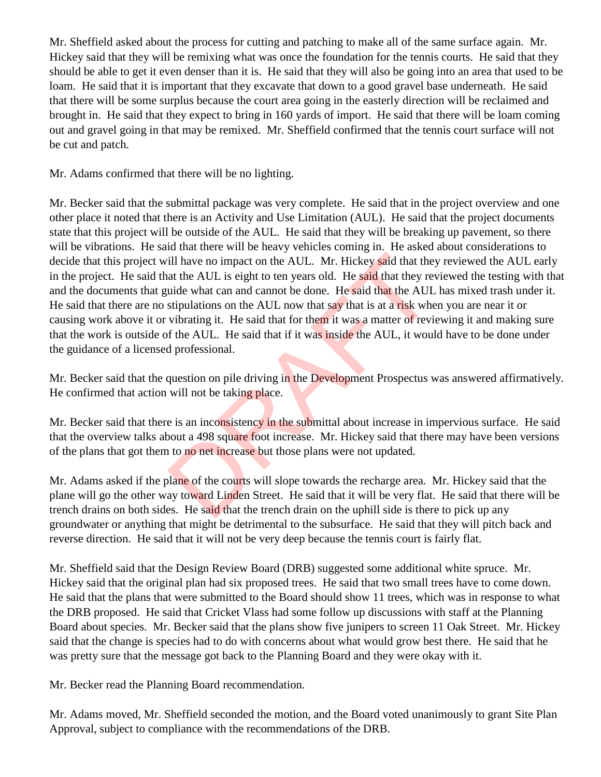Mr. Sheffield asked about the process for cutting and patching to make all of the same surface again. Mr. Hickey said that they will be remixing what was once the foundation for the tennis courts. He said that they should be able to get it even denser than it is. He said that they will also be going into an area that used to be loam. He said that it is important that they excavate that down to a good gravel base underneath. He said that there will be some surplus because the court area going in the easterly direction will be reclaimed and brought in. He said that they expect to bring in 160 yards of import. He said that there will be loam coming out and gravel going in that may be remixed. Mr. Sheffield confirmed that the tennis court surface will not be cut and patch.

Mr. Adams confirmed that there will be no lighting.

Mr. Becker said that the submittal package was very complete. He said that in the project overview and one other place it noted that there is an Activity and Use Limitation (AUL). He said that the project documents state that this project will be outside of the AUL. He said that they will be breaking up pavement, so there will be vibrations. He said that there will be heavy vehicles coming in. He asked about considerations to decide that this project will have no impact on the AUL. Mr. Hickey said that they reviewed the AUL early in the project. He said that the AUL is eight to ten years old. He said that they reviewed the testing with that and the documents that guide what can and cannot be done. He said that the AUL has mixed trash under it. He said that there are no stipulations on the AUL now that say that is at a risk when you are near it or causing work above it or vibrating it. He said that for them it was a matter of reviewing it and making sure that the work is outside of the AUL. He said that if it was inside the AUL, it would have to be done under the guidance of a licensed professional. ill have no impact on the AUL. Mr. Hickey said that the<br>at the AUL is eight to ten years old. He said that they re<br>uide what can and cannot be done. He said that the AUL<br>stipulations on the AUL now that say that is at a ri

Mr. Becker said that the question on pile driving in the Development Prospectus was answered affirmatively. He confirmed that action will not be taking place.

Mr. Becker said that there is an inconsistency in the submittal about increase in impervious surface. He said that the overview talks about a 498 square foot increase. Mr. Hickey said that there may have been versions of the plans that got them to no net increase but those plans were not updated.

Mr. Adams asked if the plane of the courts will slope towards the recharge area. Mr. Hickey said that the plane will go the other way toward Linden Street. He said that it will be very flat. He said that there will be trench drains on both sides. He said that the trench drain on the uphill side is there to pick up any groundwater or anything that might be detrimental to the subsurface. He said that they will pitch back and reverse direction. He said that it will not be very deep because the tennis court is fairly flat.

Mr. Sheffield said that the Design Review Board (DRB) suggested some additional white spruce. Mr. Hickey said that the original plan had six proposed trees. He said that two small trees have to come down. He said that the plans that were submitted to the Board should show 11 trees, which was in response to what the DRB proposed. He said that Cricket Vlass had some follow up discussions with staff at the Planning Board about species. Mr. Becker said that the plans show five junipers to screen 11 Oak Street. Mr. Hickey said that the change is species had to do with concerns about what would grow best there. He said that he was pretty sure that the message got back to the Planning Board and they were okay with it.

Mr. Becker read the Planning Board recommendation.

Mr. Adams moved, Mr. Sheffield seconded the motion, and the Board voted unanimously to grant Site Plan Approval, subject to compliance with the recommendations of the DRB.